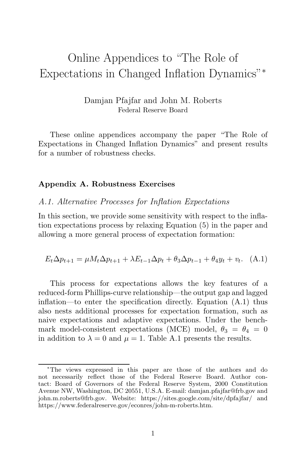# Online Appendices to "The Role of Expectations in Changed Inflation Dynamics"<sup>∗</sup>

Damjan Pfajfar and John M. Roberts Federal Reserve Board

These online appendices accompany the paper "The Role of Expectations in Changed Inflation Dynamics" and present results for a number of robustness checks.

#### **Appendix A. Robustness Exercises**

#### A.1. Alternative Processes for Inflation Expectations

In this section, we provide some sensitivity with respect to the inflation expectations process by relaxing Equation (5) in the paper and allowing a more general process of expectation formation:

$$
E_t \Delta p_{t+1} = \mu M_t \Delta p_{t+1} + \lambda E_{t-1} \Delta p_t + \theta_3 \Delta p_{t-1} + \theta_4 y_t + v_t.
$$
 (A.1)

This process for expectations allows the key features of a reduced-form Phillips-curve relationship—the output gap and lagged inflation—to enter the specification directly. Equation (A.1) thus also nests additional processes for expectation formation, such as naive expectations and adaptive expectations. Under the benchmark model-consistent expectations (MCE) model,  $\theta_3 = \theta_4 = 0$ in addition to  $\lambda = 0$  and  $\mu = 1$ . Table A.1 presents the results.

<sup>∗</sup>The views expressed in this paper are those of the authors and do not necessarily reflect those of the Federal Reserve Board. Author contact: Board of Governors of the Federal Reserve System, 2000 Constitution Avenue NW, Washington, DC 20551, U.S.A. E-mail: damjan.pfajfar@frb.gov and john.m.roberts@frb.gov. Website: https://sites.google.com/site/dpfajfar/ and https://www.federalreserve.gov/econres/john-m-roberts.htm.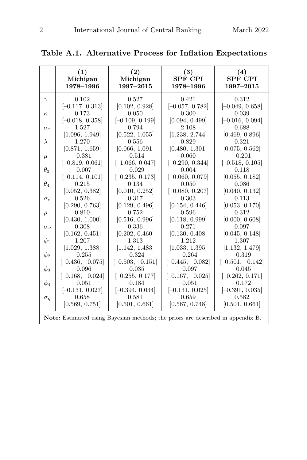|                        | (1)<br>Michigan<br>1978-1996                                                           | (2)<br>Michigan<br>1997-2015 | (3)<br><b>SPF CPI</b><br>1978-1996 | (4)<br><b>SPF CPI</b><br>1997-2015 |
|------------------------|----------------------------------------------------------------------------------------|------------------------------|------------------------------------|------------------------------------|
| $\gamma$               | 0.102<br>$[-0.117, 0.313]$                                                             | 0.527<br>[0.102, 0.928]      | 0.421<br>$[-0.057, 0.782]$         | 0.312<br>$[-0.049, 0.658]$         |
| $\kappa$               | 0.173                                                                                  | 0.050                        | 0.300                              | 0.039                              |
|                        | $[-0.018, 0.358]$                                                                      | $[-0.109, 0.199]$            | [0.094, 0.499]                     | $[-0.016, 0.094]$                  |
| $\sigma_{\varepsilon}$ | 1.527                                                                                  | 0.794                        | 2.108                              | 0.688                              |
|                        | [1.096, 1.949]                                                                         | [0.522, 1.055]               | [1.238, 2.744]                     | [0.469, 0.896]                     |
| $\lambda$              | 1.270                                                                                  | 0.556                        | 0.829                              | 0.321                              |
|                        | [0.871, 1.659]                                                                         | [0.066, 1.091]               | [0.480, 1.301]                     | [0.075, 0.562]                     |
| $\mu$                  | $-0.381$                                                                               | $-0.514$                     | 0.060                              | $-0.201$                           |
|                        | $[-0.819, 0.061]$                                                                      | $[-1.066, 0.047]$            | $[-0.290, 0.344]$                  | $[-0.518, 0.105]$                  |
| $\theta_3$             | $-0.007$                                                                               | $-0.029$                     | 0.004                              | 0.118                              |
|                        | $[-0.114, 0.101]$                                                                      | $[-0.235, 0.173]$            | $[-0.060, 0.079]$                  | [0.055, 0.182]                     |
| $\theta_{4}$           | 0.215                                                                                  | 0.134                        | 0.050                              | 0.086                              |
|                        | [0.052, 0.382]<br>0.526                                                                | [0.010, 0.252]<br>0.317      | $[-0.080, 0.207]$<br>0.303         | [0.040, 0.132]<br>0.113            |
| $\sigma_{\nu}$         |                                                                                        |                              | [0.154, 0.446]                     |                                    |
|                        | [0.290, 0.763]<br>0.810                                                                | [0.129, 0.496]<br>0.752      | 0.596                              | [0.053, 0.170]<br>0.312            |
| $\rho$                 | [0.430, 1.000]                                                                         | [0.516, 0.996]               | [0.118, 0.999]                     | [0.000, 0.608]                     |
|                        | 0.308                                                                                  | 0.336                        | 0.271                              | 0.097                              |
| $\sigma_{\omega}$      | [0.162, 0.451]                                                                         | [0.202, 0.460]               | [0.130, 0.408]                     | [0.045, 0.148]                     |
| $\phi_1$               | 1.207                                                                                  | 1.313                        | 1.212                              | 1.307                              |
|                        | [1.029, 1.388]                                                                         | [1.142, 1.483]               | [1.033, 1.395]                     | [1.132, 1.479]                     |
| $\phi_2$               | $-0.255$                                                                               | $-0.324$                     | $-0.264$                           | $-0.319$                           |
|                        | $[-0.436, -0.075]$                                                                     | $[-0.503, -0.151]$           | $[-0.445, -0.082]$                 | $[-0.501, -0.142]$                 |
| $\phi_3$               | $-0.096$                                                                               | $-0.035$                     | $-0.097$                           | $-0.045$                           |
|                        | $[-0.168, -0.024]$                                                                     | $[-0.255, 0.177]$            | $[-0.167, -0.025]$                 | $[-0.262, 0.171]$                  |
| $\phi_4$               | $-0.051$                                                                               | $-0.184$                     | $-0.051$                           | $-0.172$                           |
|                        | $[-0.131, 0.027]$                                                                      | $[-0.394, 0.034]$            | $[-0.131, 0.025]$                  | $[-0.391, 0.035]$                  |
| $\sigma_{\eta}$        | 0.658                                                                                  | 0.581                        | 0.659                              | 0.582                              |
|                        | [0.569, 0.751]                                                                         | [0.501, 0.661]               | [0.567, 0.748]                     | [0.501, 0.661]                     |
|                        | <b>Note:</b> Estimated using Bayesian methods; the priors are described in appendix B. |                              |                                    |                                    |

**Table A.1. Alternative Process for Inflation Expectations**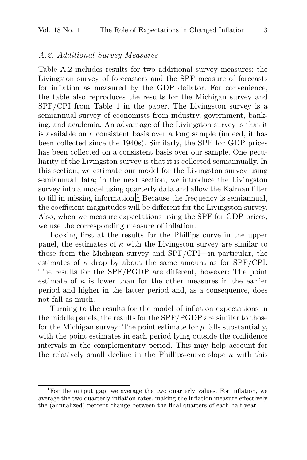#### A.2. Additional Survey Measures

Table A.2 includes results for two additional survey measures: the Livingston survey of forecasters and the SPF measure of forecasts for inflation as measured by the GDP deflator. For convenience, the table also reproduces the results for the Michigan survey and SPF/CPI from Table 1 in the paper. The Livingston survey is a semiannual survey of economists from industry, government, banking, and academia. An advantage of the Livingston survey is that it is available on a consistent basis over a long sample (indeed, it has been collected since the 1940s). Similarly, the SPF for GDP prices has been collected on a consistent basis over our sample. One peculiarity of the Livingston survey is that it is collected semiannually. In this section, we estimate our model for the Livingston survey using semiannual data; in the next section, we introduce the Livingston survey into a model using quarterly data and allow the Kalman filter to fill in missing information.<sup>1</sup> Because the frequency is semiannual, the coefficient magnitudes will be different for the Livingston survey. Also, when we measure expectations using the SPF for GDP prices, we use the corresponding measure of inflation.

Looking first at the results for the Phillips curve in the upper panel, the estimates of  $\kappa$  with the Livingston survey are similar to those from the Michigan survey and SPF/CPI—in particular, the estimates of  $\kappa$  drop by about the same amount as for SPF/CPI. The results for the SPF/PGDP are different, however: The point estimate of  $\kappa$  is lower than for the other measures in the earlier period and higher in the latter period and, as a consequence, does not fall as much.

Turning to the results for the model of inflation expectations in the middle panels, the results for the SPF/PGDP are similar to those for the Michigan survey: The point estimate for  $\mu$  falls substantially, with the point estimates in each period lying outside the confidence intervals in the complementary period. This may help account for the relatively small decline in the Phillips-curve slope  $\kappa$  with this

<sup>1</sup>For the output gap, we average the two quarterly values. For inflation, we average the two quarterly inflation rates, making the inflation measure effectively the (annualized) percent change between the final quarters of each half year.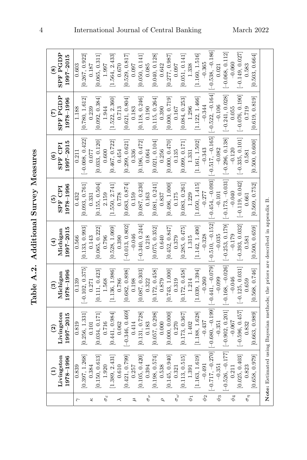| ļ<br>ζ             |
|--------------------|
| í<br>$\frac{1}{2}$ |
| ¢                  |
| Ì<br>ׇ֠            |

|                         | Livingston<br>1978-1996<br>$\widehat{E}$ | Livingston<br>$.997 - 2015$<br>$\widehat{\mathfrak{g}}$ | 1978-1996<br>Michigan<br>$\mathbf{e}$                                           | $.997 - 2015$<br>Michigan<br>$\bigoplus$ | $1978 - 1996$<br>SPF CPI<br>$\widehat{e}$ | $1997 - 2015$<br><b>SPF CPI</b><br>$\widehat{\mathbf{e}}$ | <b>SPF PGDP</b><br>1978-1996<br>$\widehat{\epsilon}$ | <b>SPF PGDP</b><br>1997-2015<br>$\circledast$ |
|-------------------------|------------------------------------------|---------------------------------------------------------|---------------------------------------------------------------------------------|------------------------------------------|-------------------------------------------|-----------------------------------------------------------|------------------------------------------------------|-----------------------------------------------|
| $\overline{\mathbf{c}}$ | 0.839                                    | 0.819                                                   | 0.139                                                                           | 0.566                                    | 0.432                                     | 0.211                                                     | 1.188                                                | 0.603                                         |
|                         | [0.397, 1.268]                           | [0.256, 1.331]                                          | $[-0.102, 0.375]$                                                               | [0.133, 0.993]                           | 0.093, 0.761                              | $[-0.008, 0.422]$                                         | [0.780, 1.612]                                       | [0.267, 0.922]                                |
| κ                       | 0.384                                    | 0.101                                                   | 0.271                                                                           | 0.143                                    | 0.331                                     | 0.077                                                     | 0.239                                                | 0.187                                         |
|                         | 0.150, 0.613                             | [0.034, 0.171]                                          | [0.111, 0.423]                                                                  | [0.065, 0.222]                           | [0.155, 0.504]                            | [0.033, 0.120]                                            | [0.092, 0.384]                                       | [0.065, 0.311]                                |
| $\sigma_{\rm e}$        | 1.920                                    | 0.716                                                   | 1.568                                                                           | 0.796                                    | 2.159                                     | 0.600                                                     | 1.944                                                | 1.997                                         |
|                         | 1.389, 2.431                             | [0.441, 0.984]                                          | [1.136, 1.986]                                                                  | [0.528, 1.069]                           | [1.550, 2.741]                            | [0.467, 0.722]                                            | [1.522, 2.360]                                       | [1.564, 2.433]                                |
| $\prec$                 | 0.610                                    | 0.062                                                   | 0.786                                                                           | 0.390                                    | 0.778                                     | 0.454                                                     | 0.713                                                | 0.670                                         |
|                         | [0.421, 0.799]                           | $-0.346, 0.469$                                         | [0.682, 0.898]                                                                  | $[-0.013, 0.802]$                        | [0.683, 0.874]                            | [0.299, 0.621]                                            | [0.621, 0.804]                                       | [0.529, 0.817]                                |
| Į                       | 0.257                                    | 0.414                                                   | 0.198                                                                           | $-0.046$                                 | 0.159                                     | 0.336                                                     | 0.183                                                | 0.097                                         |
|                         | [0.105, 0.420]                           | [0.131, 0.728]                                          | [0.087, 0.303]                                                                  | $-0.340, 0.244$                          | [0.087, 0.230]                            | [0.196, 0.472]                                            | [0.118, 0.246]                                       | [0.050, 0.141]                                |
| $\sigma_{\nu}$          | 0.394                                    | 0.183                                                   | 0.322                                                                           | 0.218                                    | 0.163                                     | 0.064                                                     | 0.190                                                | 0.085                                         |
|                         | [0.198, 0.574]                           | [0.057, 0.298]                                          | [0.172, 0.458]                                                                  | [0.075, 0.352]                           | [0.081, 0.241]                            | [0.021, 0.104]                                            | [0.115, 0.264]                                       | [0.040, 0.128]                                |
| $\sigma$                | 0.538                                    | 0.000                                                   | 0.879                                                                           | 0.640                                    | 0.837                                     | 0.256                                                     | 0.390                                                | 0.642                                         |
|                         | [0.145, 0.940]                           | [0.000, 0.000]                                          | [0.743, 1.000]                                                                  | [0.452, 0.847]                           | [0.496, 1.000]                            | [0.000, 0.470]                                            | [0.000, 0.719]                                       | [0.277, 0.987]                                |
| $\sigma_{\omega}$       | 0.321                                    | 0.270                                                   | 0.319                                                                           | 0.379                                    | 0.175                                     | 0.135                                                     | 0.167                                                | 0.097                                         |
|                         | [0.113, 0.515]                           | [0.173, 0.367]                                          | [0.172, 0.458]                                                                  | [0.285, 0.475]                           | [0.083, 0.261]                            | [0.099, 0.171]                                            | [0.084, 0.253]                                       | [0.051, 0.141]                                |
| $\phi_1$                | 1.391                                    | 1.402                                                   | 1.214                                                                           | 1.315                                    | 1.229                                     | 1.331                                                     | 1.296                                                | 1.338                                         |
|                         | [1.163, 1.619]                           | [1.188, 1.628]                                          | [1.039, 1.394]                                                                  | [1.142, 1.490]                           | [1.050, 1.415]                            | [1.161, 1.502]                                            | [1.122, 1.466]                                       | [1.160, 1.516]                                |
| $\phi_2$                | $-0.491$                                 | $-0.437$                                                | $-0.260$                                                                        | $-0.328$                                 | $-0.277$                                  | $-0.343$                                                  | $-0.344$                                             | $-0.365$                                      |
|                         | $-0.717, -0.270$                         | $[-0.680, -0.199]$                                      | $-0.441, -0.079$                                                                | $-0.510, -0.152$                         | $-0.454, -0.093$                          | $-0.517, -0.165$                                          | $-0.522, -0.164$                                     | $[-0.538, -0.186]$                            |
| $\phi_3$                | $-0.351$                                 | $-0.351$                                                | $-0.099$                                                                        | $-0.035$                                 | $-0.101$                                  | $-0.082$                                                  | $-0.106$                                             | 0.021                                         |
|                         | $-0.526, -0.177$                         | $[-0.902, 0.201]$                                       | $[-0.168, -0.026]$                                                              | $[-0.253, 0.179]$                        | $-0.173, -0.031$                          | $[-0.296, 0.138]$                                         | $[-0.241, 0.028]$                                    | $[-0.068, 0.112]$                             |
| $\phi_4$                | 0.211                                    | $-0.067$                                                | $-0.046$                                                                        | $-0.179$                                 | $-0.040$                                  | $-0.120$                                                  | 0.055                                                | $-0.060$                                      |
|                         | [0.025, 0.403]                           | $[-0.596, 0.457]$                                       | $[-0.125, 0.031]$                                                               | $[-0.393, 0.032]$                        | $[-0.119, 0.042]$                         | $[-0.335, 0.101]$                                         | $[-0.076, 0.190]$                                    | $[-0.149, 0.027]$                             |
| $\sigma_{\eta}$         | 0.823                                    | 0.832                                                   | 0.659                                                                           | 0.581                                    | 0.661                                     | 0.581                                                     | 0.719                                                | 0.583                                         |
|                         | [0.658, 0.979]                           | [0.663, 0.989]                                          | [0.568, 0.746]                                                                  | [0.500, 0.659]                           | [0.569, 0.752]                            | [0.500, 0.600]                                            | [0.619, 0.819]                                       | [0.503, 0.664]                                |
|                         |                                          |                                                         | Note: Estimated using Bayesian methods; the priors are described in appendix B. |                                          |                                           |                                                           |                                                      |                                               |

4 International Journal of Central Banking March 2022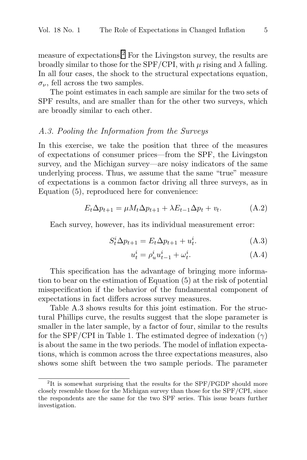measure of expectations.<sup>2</sup> For the Livingston survey, the results are broadly similar to those for the SPF/CPI, with  $\mu$  rising and  $\lambda$  falling. In all four cases, the shock to the structural expectations equation,  $\sigma_{\nu}$ , fell across the two samples.

The point estimates in each sample are similar for the two sets of SPF results, and are smaller than for the other two surveys, which are broadly similar to each other.

### A.3. Pooling the Information from the Surveys

In this exercise, we take the position that three of the measures of expectations of consumer prices—from the SPF, the Livingston survey, and the Michigan survey—are noisy indicators of the same underlying process. Thus, we assume that the same "true" measure of expectations is a common factor driving all three surveys, as in Equation (5), reproduced here for convenience:

$$
E_t \Delta p_{t+1} = \mu M_t \Delta p_{t+1} + \lambda E_{t-1} \Delta p_t + v_t.
$$
 (A.2)

Each survey, however, has its individual measurement error:

$$
S_t^i \Delta p_{t+1} = E_t \Delta p_{t+1} + u_t^i. \tag{A.3}
$$

$$
u_t^i = \rho_u^i u_{t-1}^i + \omega_t^i.
$$
 (A.4)

This specification has the advantage of bringing more information to bear on the estimation of Equation (5) at the risk of potential misspecification if the behavior of the fundamental component of expectations in fact differs across survey measures.

Table A.3 shows results for this joint estimation. For the structural Phillips curve, the results suggest that the slope parameter is smaller in the later sample, by a factor of four, similar to the results for the SPF/CPI in Table 1. The estimated degree of indexation  $(\gamma)$ is about the same in the two periods. The model of inflation expectations, which is common across the three expectations measures, also shows some shift between the two sample periods. The parameter

 ${}^{2}$ It is somewhat surprising that the results for the SPF/PGDP should more closely resemble those for the Michigan survey than those for the SPF/CPI, since the respondents are the same for the two SPF series. This issue bears further investigation.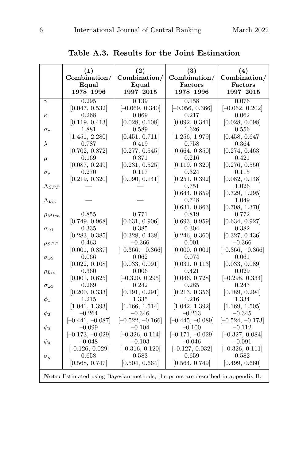|                        | (1)<br>Combination/<br>Equal<br>1978-1996 | (2)<br>Combination/<br>Equal<br>1997-2015                                              | (3)<br>Combination/<br>Factors<br>1978-1996 | (4)<br>Combination/<br>Factors<br>1997-2015 |
|------------------------|-------------------------------------------|----------------------------------------------------------------------------------------|---------------------------------------------|---------------------------------------------|
| $\gamma$               | 0.295                                     | 0.139                                                                                  | 0.158                                       | 0.076                                       |
|                        | [0.047, 0.532]                            | $[-0.069, 0.340]$                                                                      | $[-0.056, 0.366]$                           | $[-0.062, 0.202]$                           |
| $\kappa$               | 0.268                                     | 0.069                                                                                  | 0.217                                       | 0.062                                       |
|                        | [0.119, 0.413]                            | [0.028, 0.108]                                                                         | [0.092, 0.341]                              | [0.028, 0.098]                              |
| $\sigma_{\varepsilon}$ | 1.881<br>[1.451, 2.280]                   | 0.589                                                                                  | 1.626<br>[1.256, 1.979]                     | 0.556                                       |
| $\lambda$              | 0.787                                     | [0.451, 0.711]<br>0.419                                                                | 0.758                                       | [0.458, 0.647]<br>0.364                     |
|                        | [0.702, 0.872]                            | [0.277, 0.545]                                                                         | [0.664, 0.850]                              | [0.274, 0.463]                              |
| $\mu$                  | 0.169                                     | 0.371                                                                                  | 0.216                                       | 0.421                                       |
|                        | [0.087, 0.249]                            | [0.231, 0.525]                                                                         | [0.119, 0.320]                              | [0.276, 0.550]                              |
| $\sigma_{\nu}$         | 0.270                                     | 0.117                                                                                  | 0.324                                       | 0.115                                       |
|                        | [0.219, 0.320]                            | [0.090, 0.141]                                                                         | [0.251, 0.392]                              | [0.082, 0.148]                              |
| $\Lambda_{SPF}$        |                                           |                                                                                        | 0.751                                       | 1.026                                       |
|                        |                                           |                                                                                        | [0.644, 0.859]                              | [0.729, 1.295]                              |
| $\Lambda_{Lin}$        |                                           |                                                                                        | 0.748                                       | 1.049                                       |
|                        |                                           |                                                                                        | [0.631, 0.863]                              | [0.708, 1.370]                              |
| $\rho_{Mich}$          | 0.855                                     | 0.771                                                                                  | 0.819                                       | 0.772                                       |
|                        | [0.749, 0.968]<br>0.335                   | [0.631, 0.906]<br>0.385                                                                | [0.693, 0.959]                              | [0.634, 0.927]                              |
| $\sigma_{\omega1}$     | [0.283, 0.385]                            | [0.328, 0.438]                                                                         | 0.304<br>[0.246, 0.360]                     | 0.382<br>[0.327, 0.436]                     |
| $\rho_{SPF}$           | 0.463                                     | $-0.366$                                                                               | 0.001                                       | $-0.366$                                    |
|                        | [0.001, 0.837]                            | $[-0.366, -0.366]$                                                                     | [0.000, 0.001]                              | $[-0.366, -0.366]$                          |
| $\sigma_{\omega 2}$    | 0.066                                     | 0.062                                                                                  | 0.074                                       | 0.061                                       |
|                        | [0.022, 0.108]                            | [0.033, 0.091]                                                                         | [0.031, 0.113]                              | [0.033, 0.089]                              |
| $\rho_{Liv}$           | 0.360                                     | 0.006                                                                                  | 0.421                                       | 0.029                                       |
|                        | [0.001, 0.625]                            | $[-0.320, 0.295]$                                                                      | [0.046, 0.728]                              | $[-0.298, 0.334]$                           |
| $\sigma_{\omega 3}$    | 0.269                                     | 0.242                                                                                  | 0.285                                       | 0.243                                       |
|                        | [0.200, 0.333]                            | [0.191, 0.291]                                                                         | [0.213, 0.356]                              | [0.189, 0.294]                              |
| $\phi_1$               | 1.215                                     | 1.335                                                                                  | 1.216                                       | 1.334                                       |
|                        | [1.041, 1.393]<br>$-0.264$                | [1.166, 1.514]<br>$-0.346$                                                             | [1.042, 1.392]<br>$-0.263$                  | [1.169, 1.505]<br>$-0.345$                  |
| $\phi_2$               | $[-0.441, -0.087]$                        | $[-0.522, -0.166]$                                                                     | $[-0.445, -0.089]$                          | $[-0.524, -0.173]$                          |
| $\phi_3$               | $-0.099$                                  | $-0.104$                                                                               | $-0.100$                                    | $-0.112$                                    |
|                        | $[-0.173, -0.029]$                        | $[-0.326, 0.114]$                                                                      | $[-0.171, -0.029]$                          | $[-0.327, 0.084]$                           |
| $\phi_4$               | $-0.048$                                  | $-0.103$                                                                               | $-0.046$                                    | $-0.091$                                    |
|                        | $[-0.126, 0.029]$                         | $[-0.316, 0.120]$                                                                      | $[-0.127, 0.032]$                           | $[-0.326, 0.111]$                           |
| $\sigma_{\eta}$        | 0.658                                     | 0.583                                                                                  | 0.659                                       | 0.582                                       |
|                        | [0.568, 0.747]                            | [0.504, 0.664]                                                                         | [0.564, 0.749]                              | [0.499, 0.660]                              |
|                        |                                           | <b>Note:</b> Estimated using Bayesian methods; the priors are described in appendix B. |                                             |                                             |

**Table A.3. Results for the Joint Estimation**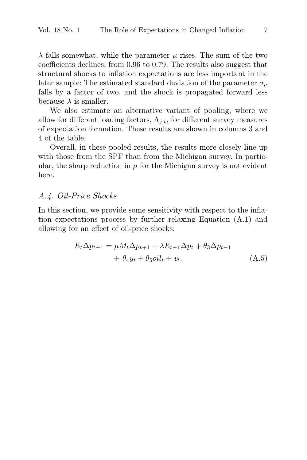$\lambda$  falls somewhat, while the parameter  $\mu$  rises. The sum of the two coefficients declines, from 0.96 to 0.79. The results also suggest that structural shocks to inflation expectations are less important in the later sample: The estimated standard deviation of the parameter  $\sigma_{\nu}$ falls by a factor of two, and the shock is propagated forward less because  $\lambda$  is smaller.

We also estimate an alternative variant of pooling, where we allow for different loading factors,  $\Lambda_{i,t}$ , for different survey measures of expectation formation. These results are shown in columns 3 and 4 of the table.

Overall, in these pooled results, the results more closely line up with those from the SPF than from the Michigan survey. In particular, the sharp reduction in  $\mu$  for the Michigan survey is not evident here.

#### A.4. Oil-Price Shocks

In this section, we provide some sensitivity with respect to the inflation expectations process by further relaxing Equation (A.1) and allowing for an effect of oil-price shocks:

$$
E_t \Delta p_{t+1} = \mu M_t \Delta p_{t+1} + \lambda E_{t-1} \Delta p_t + \theta_3 \Delta p_{t-1}
$$
  
+  $\theta_4 y_t + \theta_5 oil_t + v_t.$  (A.5)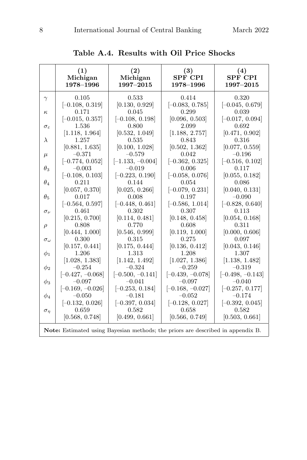|                        | (1)                                                                                    | (2)                | (3)                | (4)                |
|------------------------|----------------------------------------------------------------------------------------|--------------------|--------------------|--------------------|
|                        | Michigan                                                                               | Michigan           | <b>SPF CPI</b>     | <b>SPF CPI</b>     |
|                        | 1978-1996                                                                              | 1997-2015          | 1978-1996          | 1997-2015          |
| $\gamma$               | 0.105                                                                                  | 0.533              | 0.414              | 0.320              |
|                        | $[-0.108, 0.319]$                                                                      | [0.130, 0.929]     | $[-0.083, 0.785]$  | $[-0.045, 0.679]$  |
| $\kappa$               | 0.171                                                                                  | 0.045              | 0.299              | 0.039              |
|                        | $[-0.015, 0.357]$                                                                      | $[-0.108, 0.198]$  | [0.096, 0.503]     | $[-0.017, 0.094]$  |
| $\sigma_{\varepsilon}$ | 1.536                                                                                  | 0.800              | 2.099              | 0.692              |
|                        | [1.118, 1.964]                                                                         | [0.532, 1.049]     | [1.188, 2.757]     | [0.471, 0.902]     |
| $\lambda$              | 1.257                                                                                  | 0.535              | 0.843              | 0.316              |
|                        | [0.881, 1.635]                                                                         | [0.100, 1.028]     | [0.502, 1.362]     | [0.077, 0.559]     |
| $\mu$                  | $-0.371$                                                                               | $-0.579$           | 0.042              | $-0.196$           |
|                        | $[-0.774, 0.052]$                                                                      | $[-1.133, -0.004]$ | $[-0.362, 0.325]$  | $[-0.516, 0.102]$  |
| $\theta_3$             | $-0.003$                                                                               | $-0.019$           | 0.006              | 0.117              |
|                        | $[-0.108, 0.103]$                                                                      | $[-0.223, 0.190]$  | $[-0.058, 0.076]$  | [0.055, 0.182]     |
| $\theta_4$             | 0.211                                                                                  | 0.144              | 0.054              | 0.086              |
|                        | [0.057, 0.370]                                                                         | [0.025, 0.266]     | $[-0.079, 0.231]$  | [0.040, 0.131]     |
| $\theta_{5}$           | 0.017                                                                                  | 0.008              | 0.197              | $-0.090$           |
|                        | $[-0.564, 0.597]$                                                                      | $[-0.448, 0.461]$  | $[-0.586, 1.014]$  | $[-0.828, 0.640]$  |
|                        | 0.461                                                                                  | 0.302              | 0.307              | 0.113              |
| $\sigma_{\nu}$         | [0.215, 0.700]                                                                         | [0.114, 0.481]     | [0.148, 0.458]     | [0.054, 0.168]     |
|                        | 0.808                                                                                  | 0.770              | 0.608              | 0.311              |
| $\rho$                 | [0.444, 1.000]                                                                         | [0.546, 0.999]     | [0.119, 1.000]     | [0.000, 0.606]     |
| $\sigma_{\omega}$      | 0.300                                                                                  | 0.315              | 0.275              | 0.097              |
| $\phi_1$               | [0.157, 0.441]                                                                         | [0.175, 0.444]     | [0.136, 0.412]     | [0.043, 0.146]     |
|                        | 1.206                                                                                  | 1.313              | 1.208              | 1.307              |
| $\phi_2$               | [1.028, 1.383]                                                                         | [1.142, 1.492]     | [1.027, 1.386]     | [1.138, 1.482]     |
|                        | $-0.254$                                                                               | $-0.324$           | $-0.259$           | $-0.319$           |
| $\phi_3$               | $[-0.427, -0.068]$                                                                     | $[-0.500, -0.141]$ | $[-0.439, -0.078]$ | $[-0.498, -0.143]$ |
|                        | $-0.097$                                                                               | $-0.041$           | $-0.097$           | $-0.040$           |
| $\phi_4$               | $[-0.169, -0.026]$                                                                     | $[-0.253, 0.184]$  | $[-0.168, -0.027]$ | $[-0.257, 0.177]$  |
|                        | $-0.050$                                                                               | $-0.181$           | $-0.052$           | $-0.174$           |
| $\sigma_n$             | $[-0.132, 0.026]$                                                                      | $[-0.397, 0.034]$  | $[-0.128, 0.027]$  | $[-0.392, 0.045]$  |
|                        | 0.659                                                                                  | 0.582              | 0.658              | 0.582              |
|                        | [0.568, 0.748]                                                                         | [0.499, 0.661]     | [0.566, 0.749]     | [0.503, 0.661]     |
|                        | <b>Note:</b> Estimated using Bayesian methods; the priors are described in appendix B. |                    |                    |                    |

**Table A.4. Results with Oil Price Shocks**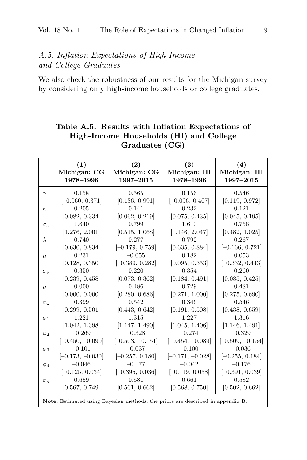# A.5. Inflation Expectations of High-Income and College Graduates

We also check the robustness of our results for the Michigan survey by considering only high-income households or college graduates.

|                        | (1)<br>Michigan: CG<br>1978-1996                                                | (2)<br>Michigan: CG<br>1997-2015 | (3)<br>Michigan: HI<br>1978-1996 | (4)<br>Michigan: HI<br>1997-2015 |
|------------------------|---------------------------------------------------------------------------------|----------------------------------|----------------------------------|----------------------------------|
| $\gamma$               | 0.158                                                                           | 0.565                            | 0.156                            | 0.546                            |
|                        | $[-0.060, 0.371]$                                                               | [0.136, 0.991]                   | $[-0.096, 0.407]$                | [0.119, 0.972]                   |
| $\kappa$               | 0.205                                                                           | 0.141                            | 0.232                            | 0.121                            |
|                        | [0.082, 0.334]                                                                  | [0.062, 0.219]                   | [0.075, 0.435]                   | [0.045, 0.195]                   |
| $\sigma_{\varepsilon}$ | 1.640                                                                           | 0.799                            | 1.610                            | 0.758                            |
|                        | [1.276, 2.001]                                                                  | [0.515, 1.068]                   | [1.146, 2.047]                   | [0.482, 1.025]                   |
| $\lambda$              | 0.740                                                                           | 0.277                            | 0.792                            | 0.267                            |
|                        | [0.630, 0.834]                                                                  | $[-0.179, 0.759]$                | [0.635, 0.884]                   | $[-0.166, 0.721]$                |
| $\mu$                  | 0.231                                                                           | $-0.055$                         | 0.182                            | 0.053                            |
|                        | [0.128, 0.350]                                                                  | $[-0.389, 0.282]$                | [0.095, 0.353]                   | $[-0.332, 0.443]$                |
| $\sigma_{\nu}$         | 0.350                                                                           | 0.220                            | 0.354                            | 0.260                            |
|                        | [0.239, 0.458]                                                                  | [0.073, 0.362]                   | [0.184, 0.491]                   | [0.085, 0.425]                   |
| $\rho$                 | 0.000                                                                           | 0.486                            | 0.729                            | 0.481                            |
|                        | [0.000, 0.000]                                                                  | [0.280, 0.686]                   | [0.271, 1.000]                   | [0.275, 0.690]                   |
| $\sigma_{\omega}$      | 0.399                                                                           | 0.542                            | 0.346                            | 0.546                            |
|                        | [0.299, 0.501]                                                                  | [0.443, 0.642]                   | [0.191, 0.508]                   | [0.438, 0.659]                   |
| $\phi_1$               | 1.221                                                                           | 1.315                            | 1.227                            | 1.316                            |
|                        | [1.042, 1.398]                                                                  | [1.147, 1.490]                   | [1.045, 1.406]                   | [1.146, 1.491]                   |
| $\phi_2$               | $-0.269$                                                                        | $-0.328$                         | $-0.274$                         | $-0.329$                         |
|                        | $[-0.450, -0.090]$                                                              | $[-0.503, -0.151]$               | $[-0.454, -0.089]$               | $[-0.509, -0.154]$               |
| $\phi_3$               | $-0.101$                                                                        | $-0.037$                         | $-0.100$                         | $-0.036$                         |
|                        | $[-0.173, -0.030]$                                                              | $[-0.257, 0.180]$                | $[-0.171, -0.028]$               | $[-0.255, 0.184]$                |
| $\phi_4$               | $-0.046$                                                                        | $-0.177$                         | $-0.042$                         | $-0.176$                         |
|                        | $[-0.125, 0.034]$                                                               | $[-0.395, 0.036]$                | $[-0.119, 0.038]$                | $[-0.391, 0.039]$                |
| $\sigma_{\eta}$        | 0.659                                                                           | 0.581                            | 0.661                            | 0.582                            |
|                        | [0.567, 0.749]                                                                  | [0.501, 0.662]                   | [0.568, 0.750]                   | [0.502, 0.662]                   |
|                        | Note: Estimated using Bayesian methods; the priors are described in appendix B. |                                  |                                  |                                  |

### **Table A.5. Results with Inflation Expectations of High-Income Households (HI) and College Graduates (CG)**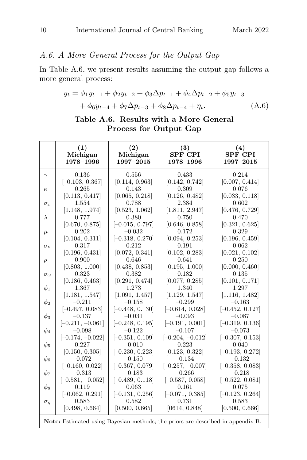# A.6. A More General Process for the Output Gap

In Table A.6, we present results assuming the output gap follows a more general process:

$$
y_t = \phi_1 y_{t-1} + \phi_2 y_{t-2} + \phi_3 \Delta p_{t-1} + \phi_4 \Delta p_{t-2} + \phi_5 y_{t-3}
$$
  
+  $\phi_6 y_{t-4} + \phi_7 \Delta p_{t-3} + \phi_8 \Delta p_{t-4} + \eta_t.$  (A.6)

|  | Table A.6. Results with a More General |  |  |
|--|----------------------------------------|--|--|
|  | Process for Output Gap                 |  |  |

|                        | (1)<br>Michigan<br>1978-1996                                                    | (2)<br>Michigan<br>1997-2015  | (3)<br><b>SPF CPI</b><br>1978-1996 | (4)<br><b>SPF CPI</b><br>1997-2015 |
|------------------------|---------------------------------------------------------------------------------|-------------------------------|------------------------------------|------------------------------------|
| $\gamma$               | 0.136                                                                           | 0.556                         | 0.433                              | 0.214                              |
|                        | $[-0.103, 0.367]$                                                               | [0.114, 0.963]                | [0.142, 0.742]                     | [0.007, 0.414]                     |
| $\kappa$               | 0.265                                                                           | 0.143                         | 0.309                              | 0.076                              |
|                        | [0.113, 0.417]                                                                  | [0.065, 0.218]                | [0.126, 0.482]                     | [0.033, 0.118]                     |
| $\sigma_{\varepsilon}$ | 1.554                                                                           | 0.788                         | 2.384                              | 0.602                              |
|                        | [1.148, 1.974]                                                                  | [0.523, 1.062]                | [1.811, 2.947]                     | [0.476, 0.729]                     |
| $\lambda$              | 0.777                                                                           | 0.380                         | 0.750                              | 0.470                              |
|                        | [0.670, 0.875]<br>0.202                                                         | $[-0.015, 0.797]$<br>$-0.032$ | [0.646, 0.858]<br>0.172            | [0.321, 0.625]<br>0.329            |
| $\mu$                  | [0.104, 0.311]                                                                  | $[-0.318, 0.270]$             | [0.094, 0.253]                     | [0.196, 0.459]                     |
|                        | 0.317                                                                           | 0.212                         | 0.191                              | 0.062                              |
| $\sigma_{\nu}$         | [0.196, 0.431]                                                                  | [0.072, 0.341]                | [0.102, 0.283]                     | [0.021, 0.102]                     |
| $\rho$                 | 0.900                                                                           | 0.646                         | 0.641                              | 0.250                              |
|                        | [0.803, 1.000]                                                                  | [0.438, 0.853]                | [0.195, 1.000]                     | [0.000, 0.460]                     |
| $\sigma_{\omega}$      | 0.323                                                                           | 0.382                         | 0.182                              | 0.135                              |
|                        | [0.186, 0.463]                                                                  | [0.291, 0.474]                | [0.077, 0.285]                     | [0.101, 0.171]                     |
| $\phi_1$               | 1.367                                                                           | 1.273                         | 1.340                              | 1.297                              |
|                        | [1.181, 1.547]                                                                  | [1.091, 1.457]                | [1.129, 1.547]                     | [1.116, 1.482]                     |
| $\phi_2$               | $-0.211$                                                                        | $-0.158$                      | $-0.299$                           | $-0.163$                           |
|                        | $[-0.497, 0.083]$                                                               | $[-0.448, 0.130]$             | $[-0.614, 0.028]$                  | $[-0.452, 0.127]$                  |
| $\phi_3$               | $-0.137$                                                                        | $-0.031$                      | $-0.093$                           | $-0.087$                           |
|                        | $[-0.211, -0.061]$                                                              | $[-0.248, 0.195]$             | $[-0.191, 0.001]$                  | $[-0.319, 0.136]$                  |
| $\phi_4$               | $-0.098$                                                                        | $-0.122$                      | $-0.107$                           | $-0.073$                           |
|                        | $[-0.174, -0.022]$                                                              | $[-0.351, 0.109]$             | $[-0.204, -0.012]$                 | $[-0.307, 0.153]$                  |
| $\phi_5$               | 0.227                                                                           | $-0.010$                      | 0.223                              | 0.040                              |
|                        | [0.150, 0.305]                                                                  | $[-0.230, 0.223]$             | [0.123, 0.322]<br>$-0.134$         | $[-0.193, 0.272]$                  |
| Ф6                     | $-0.072$<br>$[-0.160, 0.022]$                                                   | $-0.150$<br>$[-0.367, 0.079]$ | $[-0.257, -0.007]$                 | $-0.132$<br>$[-0.358, 0.083]$      |
|                        | $-0.313$                                                                        | $-0.183$                      | $-0.266$                           | $-0.218$                           |
| $\phi_7$               | $[-0.581, -0.052]$                                                              | $[-0.489, 0.118]$             | $[-0.587, 0.058]$                  | $[-0.522, 0.081]$                  |
| $\phi_8$               | 0.119                                                                           | 0.063                         | 0.161                              | 0.075                              |
|                        | $[-0.062, 0.291]$                                                               | $[-0.131, 0.256]$             | $[-0.071, 0.385]$                  | $[-0.123, 0.264]$                  |
| $\sigma_{\eta}$        | 0.583                                                                           | 0.582                         | 0.731                              | 0.583                              |
|                        | [0.498, 0.664]                                                                  | [0.500, 0.665]                | [0614, 0.848]                      | [0.500, 0.666]                     |
|                        | Note: Estimated using Bayesian methods; the priors are described in appendix B. |                               |                                    |                                    |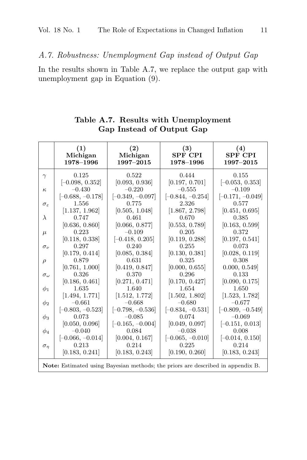A.7. Robustness: Unemployment Gap instead of Output Gap

In the results shown in Table A.7, we replace the output gap with unemployment gap in Equation (9).

|                        | (1)                                                                                                      | (2)                | (3)                | (4)                |
|------------------------|----------------------------------------------------------------------------------------------------------|--------------------|--------------------|--------------------|
|                        | Michigan                                                                                                 | Michigan           | <b>SPF CPI</b>     | <b>SPF CPI</b>     |
|                        | 1978-1996                                                                                                | 1997-2015          | 1978-1996          | 1997-2015          |
| $\gamma$               | 0.125                                                                                                    | 0.522              | 0.444              | 0.155              |
|                        | $[-0.098, 0.352]$                                                                                        | [0.093, 0.936]     | [0.197, 0.701]     | $[-0.053, 0.353]$  |
| $\kappa$               | $-0.430$                                                                                                 | $-0.220$           | $-0.555$           | $-0.109$           |
|                        | $[-0.688, -0.178]$                                                                                       | $[-0.349, -0.097]$ | $[-0.844, -0.254]$ | $[-0.171, -0.049]$ |
| $\sigma_{\varepsilon}$ | 1.556                                                                                                    | 0.775              | 2.326              | 0.577              |
|                        | [1.137, 1.962]                                                                                           | [0.505, 1.048]     | [1.867, 2.798]     | [0.451, 0.695]     |
| $\lambda$              | 0.747                                                                                                    | 0.461              | 0.670              | 0.385              |
|                        | [0.636, 0.860]                                                                                           | [0.066, 0.877]     | [0.553, 0.789]     | [0.163, 0.599]     |
| $\mu$                  | 0.223                                                                                                    | $-0.109$           | 0.205              | 0.372              |
|                        | [0.118, 0.338]                                                                                           | $[-0.418, 0.205]$  | [0.119, 0.288]     | [0.197, 0.541]     |
| $\sigma_{\nu}$         | 0.297                                                                                                    | 0.240              | 0.255              | 0.073              |
|                        | [0.179, 0.414]                                                                                           | [0.085, 0.384]     | [0.130, 0.381]     | [0.028, 0.119]     |
| $\rho$                 | 0.879                                                                                                    | 0.631              | 0.325              | 0.308              |
|                        | [0.761, 1.000]                                                                                           | [0.419, 0.847]     | [0.000, 0.655]     | 0.000, 0.549       |
| $\sigma_{\omega}$      | 0.326                                                                                                    | 0.370              | 0.296              | 0.133              |
|                        | [0.186, 0.461]                                                                                           | [0.271, 0.471]     | [0.170, 0.427]     | [0.090, 0.175]     |
| $\phi_1$               | 1.635                                                                                                    | 1.640              | 1.654              | 1.650              |
| $\phi_2$               | [1.494, 1.771]                                                                                           | [1.512, 1.772]     | [1.502, 1.802]     | [1.523, 1.782]     |
|                        | $-0.661$                                                                                                 | $-0.668$           | $-0.680$           | $-0.677$           |
| $\phi_3$               | $[-0.803, -0.523]$                                                                                       | $[-0.798, -0.536]$ | $[-0.834, -0.531]$ | $[-0.809, -0.549]$ |
|                        | 0.073                                                                                                    | $-0.085$           | 0.074              | $-0.069$           |
| $\phi_4$               | [0.050, 0.096]                                                                                           | $[-0.165, -0.004]$ | [0.049, 0.097]     | $[-0.151, 0.013]$  |
|                        | $-0.040$                                                                                                 | 0.084              | $-0.038$           | 0.008              |
| $\sigma_n$             | $[-0.066, -0.014]$                                                                                       | [0.004, 0.167]     | $[-0.065, -0.010]$ | $[-0.014, 0.150]$  |
|                        | 0.213                                                                                                    | 0.214              | 0.225              | 0.214              |
|                        | [0.183, 0.241]<br><b>Note:</b> Estimated using Bayesian methods; the priors are described in appendix B. | [0.183, 0.243]     | [0.190, 0.260]     | [0.183, 0.243]     |

**Table A.7. Results with Unemployment Gap Instead of Output Gap**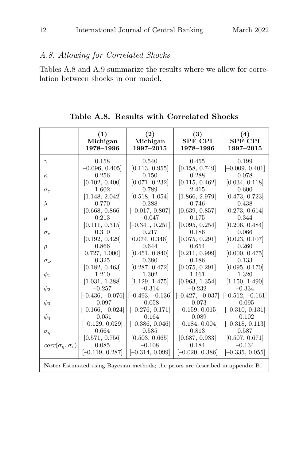# A.8. Allowing for Correlated Shocks

Tables A.8 and A.9 summarize the results where we allow for correlation between shocks in our model.

**Table A.8. Results with Correlated Shocks**

|                                        | (1)                | (2)                | (3)                                                                                    | (4)                |
|----------------------------------------|--------------------|--------------------|----------------------------------------------------------------------------------------|--------------------|
|                                        | Michigan           | Michigan           | <b>SPF CPI</b>                                                                         | <b>SPF CPI</b>     |
|                                        | 1978-1996          | 1997-2015          | 1978–1996                                                                              | 1997-2015          |
| $\gamma$                               | 0.158              | 0.540              | 0.455                                                                                  | 0.199              |
|                                        | $-0.096, 0.405$    | [0.113, 0.955]     | [0.158, 0.749]                                                                         | $[-0.009, 0.401]$  |
| $\kappa$                               | 0.256              | 0.150              | 0.288                                                                                  | 0.078              |
|                                        | [0.102, 0.400]     | [0.071, 0.232]     | [0.115, 0.462]                                                                         | [0.034, 0.118]     |
| $\sigma_{\varepsilon}$                 | 1.602              | 0.789              | 2.415                                                                                  | 0.600              |
|                                        | [1.148, 2.042]     | [0.518, 1.054]     | [1.866, 2.979]                                                                         | [0.473, 0.723]     |
| $\lambda$                              | 0.770              | 0.388              | 0.746                                                                                  | 0.438              |
|                                        | [0.668, 0.866]     | $[-0.017, 0.807]$  | [0.639, 0.857]                                                                         | [0.273, 0.614]     |
| $\mu$                                  | 0.213              | $-0.047$           | 0.175                                                                                  | 0.344              |
|                                        | [0.111, 0.315]     | $[-0.341, 0.251]$  | [0.095, 0.254]                                                                         | [0.206, 0.484]     |
| $\sigma_{\nu}$                         | 0.310              | 0.217              | 0.186                                                                                  | 0.066              |
|                                        | [0.192, 0.429]     | 0.074, 0.346       | [0.075, 0.291]                                                                         | [0.023, 0.107]     |
| $\rho$                                 | 0.866              | 0.644              | 0.654                                                                                  | 0.260              |
|                                        | 0.727, 1.000       | [0.451, 0.840]     | [0.211, 0.999]                                                                         | [0.000, 0.475]     |
| $\sigma_{\omega}$                      | 0.325              | 0.380              | 0.186                                                                                  | 0.133              |
|                                        | [0.182, 0.463]     | [0.287, 0.472]     | [0.075, 0.291]                                                                         | [0.095, 0.170]     |
|                                        | 1.210              | 1.302              | 1.161                                                                                  | 1.320              |
| $\phi_1$                               | [1.031, 1.388]     | [1.129, 1.475]     | [0.963, 1.354]                                                                         | [1.150, 1.490]     |
|                                        | $-0.257$           | $-0.314$           | $-0.232$                                                                               | $-0.334$           |
| $\phi_2$                               | $[-0.436, -0.076]$ | $[-0.493, -0.136]$ | $[-0.427, -0.037]$                                                                     | $[-0.512, -0.161]$ |
| $\phi_3$                               | $-0.097$           | $-0.058$           | $-0.073$                                                                               | $-0.095$           |
| $\phi_4$                               | $[-0.166, -0.024]$ | $[-0.276, 0.171]$  | $[-0.159, 0.015]$                                                                      | $[-0.310, 0.131]$  |
|                                        | $-0.051$           | $-0.164$           | $-0.089$                                                                               | $-0.102$           |
| $\sigma_{\eta}$                        | $[-0.129, 0.029]$  | $[-0.386, 0.046]$  | $[-0.184, 0.004]$                                                                      | $[-0.318, 0.113]$  |
|                                        | 0.664              | 0.585              | 0.813                                                                                  | 0.587              |
| $corr(\sigma_n, \sigma_{\varepsilon})$ | [0.571, 0.756]     | [0.503, 0.665]     | [0.687, 0.933]                                                                         | [0.507, 0.671]     |
|                                        | 0.085              | $-0.108$           | 0.184                                                                                  | $-0.134$           |
|                                        | $[-0.119, 0.287]$  | $[-0.314, 0.099]$  | $[-0.020, 0.386]$                                                                      | $[-0.335, 0.055]$  |
|                                        |                    |                    | <b>Note:</b> Estimated using Bayesian methods; the priors are described in appendix B. |                    |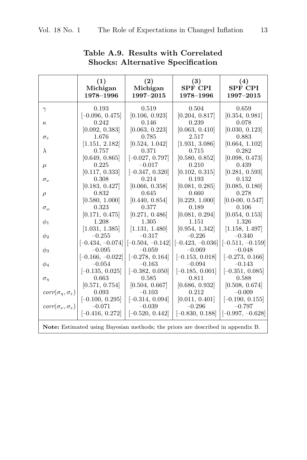|                                             | (1)                                                                                    | (2)                | (3)                | (4)                |
|---------------------------------------------|----------------------------------------------------------------------------------------|--------------------|--------------------|--------------------|
|                                             | Michigan                                                                               | Michigan           | <b>SPF CPI</b>     | <b>SPF CPI</b>     |
|                                             | 1978-1996                                                                              | 1997-2015          | 1978-1996          | 1997-2015          |
| $\gamma$                                    | 0.193                                                                                  | 0.519              | 0.504              | 0.659              |
|                                             | $[-0.096, 0.475]$                                                                      | [0.106, 0.923]     | [0.204, 0.817]     | [0.354, 0.981]     |
| $\kappa$                                    | 0.242                                                                                  | 0.146              | 0.239              | 0.078              |
| $\sigma_{\varepsilon}$                      | [0.092, 0.383]                                                                         | [0.063, 0.223]     | [0.063, 0.410]     | [0.030, 0.123]     |
|                                             | 1.676                                                                                  | 0.785              | 2.517              | 0.883              |
| $\lambda$                                   | [1.151, 2.182]                                                                         | [0.524, 1.042]     | [1.931, 3.086]     | [0.664, 1.102]     |
|                                             | 0.757                                                                                  | 0.371              | 0.715              | 0.282              |
|                                             | [0.649, 0.865]                                                                         | $[-0.027, 0.797]$  | [0.580, 0.852]     | [0.098, 0.473]     |
| $\mu$                                       | 0.225                                                                                  | $-0.017$           | 0.210              | 0.439              |
|                                             | [0.117, 0.333]                                                                         | $[-0.347, 0.320]$  | [0.102, 0.315]     | [0.281, 0.593]     |
| $\sigma_{\nu}$                              | 0.308                                                                                  | 0.214              | 0.193              | 0.132              |
|                                             | [0.183, 0.427]                                                                         | [0.066, 0.358]     | [0.081, 0.285]     | [0.085, 0.180]     |
| $\rho$                                      | 0.832                                                                                  | 0.645              | 0.660              | 0.278              |
| $\sigma_{\omega}$                           | [0.580, 1.000]                                                                         | [0.440, 0.854]     | [0.229, 1.000]     | $[0.0-00, 0.547]$  |
|                                             | 0.323                                                                                  | 0.377              | 0.189              | 0.106              |
| $\phi_1$                                    | [0.171, 0.475]                                                                         | [0.271, 0.486]     | [0.081, 0.294]     | [0.054, 0.153]     |
|                                             | 1.208                                                                                  | 1.305              | 1.151              | 1.326              |
|                                             | [1.031, 1.385]                                                                         | [1.131, 1.480]     | [0.954, 1.342]     | [1.158, 1.497]     |
|                                             | $-0.255$                                                                               | $-0.317$           | $-0.226$           | $-0.340$           |
| $\phi_2$                                    | $[-0.434, -0.074]$                                                                     | $[-0.504, -0.142]$ | $[-0.423, -0.036]$ | $[-0.511, -0.159]$ |
| $\phi_3$                                    | $-0.095$                                                                               | $-0.059$           | $-0.069$           | $-0.048$           |
|                                             | $[-0.166, -0.022]$                                                                     | $[-0.278, 0.164]$  | $[-0.153, 0.018]$  | $[-0.273, 0.166]$  |
| $\phi_4$                                    | $-0.054$                                                                               | $-0.163$           | $-0.094$           | $-0.143$           |
|                                             | $[-0.135, 0.025]$                                                                      | $[-0.382, 0.050]$  | $[-0.185, 0.001]$  | $[-0.351, 0.085]$  |
| $\sigma_n$                                  | 0.663                                                                                  | 0.585              | 0.811              | 0.588              |
| $corr(\sigma_{\eta}, \sigma_{\varepsilon})$ | [0.571, 0.754]                                                                         | [0.504, 0.667]     | [0.686, 0.932]     | [0.508, 0.674]     |
|                                             | 0.093                                                                                  | $-0.103$           | 0.212              | $-0.009$           |
| $corr(\sigma_{\nu}, \sigma_{\varepsilon})$  | $[-0.100, 0.295]$                                                                      | $[-0.314, 0.094]$  | [0.011, 0.401]     | $[-0.190, 0.155]$  |
|                                             | $-0.071$                                                                               | $-0.039$           | $-0.296$           | $-0.797$           |
|                                             | $[-0.416, 0.272]$                                                                      | $[-0.520, 0.442]$  | $[-0.830, 0.188]$  | $[-0.997, -0.628]$ |
|                                             | <b>Note:</b> Estimated using Bayesian methods; the priors are described in appendix B. |                    |                    |                    |

# **Table A.9. Results with Correlated Shocks: Alternative Specification**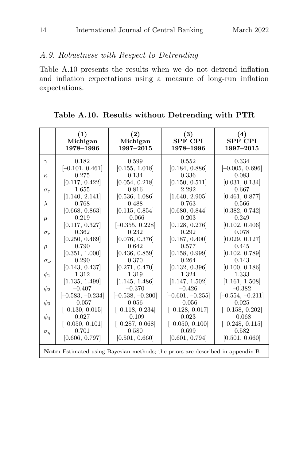## A.9. Robustness with Respect to Detrending

Table A.10 presents the results when we do not detrend inflation and inflation expectations using a measure of long-run inflation expectations.

**Table A.10. Results without Detrending with PTR**

|                        | (1)<br>Michigan<br>1978-1996                                                           | $\left( 2\right)$<br>Michigan<br>1997-2015 | (3)<br><b>SPF CPI</b><br>1978-1996 | (4)<br><b>SPF CPI</b><br>1997-2015 |
|------------------------|----------------------------------------------------------------------------------------|--------------------------------------------|------------------------------------|------------------------------------|
| $\gamma$               | 0.182                                                                                  | 0.599                                      | 0.552                              | 0.334                              |
|                        | $[-0.101, 0.461]$                                                                      | [0.155, 1.018]                             | [0.184, 0.886]                     | $[-0.005, 0.696]$                  |
| $\kappa$               | 0.275                                                                                  | 0.134                                      | 0.336                              | 0.083                              |
|                        | [0.117, 0.422]                                                                         | [0.054, 0.218]                             | [0.150, 0.511]                     | [0.031, 0.134]                     |
| $\sigma_{\varepsilon}$ | 1.655                                                                                  | 0.816                                      | 2.292                              | 0.667                              |
|                        | [1.140, 2.141]                                                                         | [0.536, 1.086]                             | [1.640, 2.905]                     | [0.461, 0.877]                     |
| $\lambda$              | 0.768                                                                                  | 0.488                                      | 0.763                              | 0.566                              |
|                        | [0.668, 0.863]                                                                         | [0.115, 0.854]                             | [0.680, 0.844]                     | [0.382, 0.742]                     |
| $\mu$                  | 0.219                                                                                  | $-0.066$                                   | 0.203                              | 0.249                              |
|                        | [0.117, 0.327]                                                                         | $[-0.355, 0.228]$                          | [0.128, 0.276]                     | [0.102, 0.406]                     |
| $\sigma_{\nu}$         | 0.362                                                                                  | 0.232                                      | 0.292                              | 0.078                              |
|                        | [0.250, 0.469]                                                                         | [0.076, 0.376]                             | [0.187, 0.400]                     | [0.029, 0.127]                     |
| $\rho$                 | 0.790                                                                                  | 0.642                                      | 0.577                              | 0.445                              |
|                        | [0.351, 1.000]                                                                         | [0.436, 0.859]                             | [0.158, 0.999]                     | [0.102, 0.789]                     |
| $\sigma_{\omega}$      | 0.290                                                                                  | 0.370                                      | 0.264                              | 0.143                              |
|                        | [0.143, 0.437]                                                                         | [0.271, 0.470]                             | [0.132, 0.396]                     | [0.100, 0.186]                     |
| $\phi_1$               | 1.312                                                                                  | 1.319                                      | 1.324                              | 1.333                              |
|                        | [1.135, 1.499]                                                                         | [1.145, 1.486]                             | [1.147, 1.502]                     | [1.161, 1.508]                     |
| $\phi_2$               | $-0.407$                                                                               | $-0.370$                                   | $-0.426$                           | $-0.382$                           |
|                        | $[-0.583, -0.234]$                                                                     | $[-0.538, -0.200]$                         | $[-0.601, -0.255]$                 | $[-0.554, -0.211]$                 |
| $\phi_3$               | $-0.057$                                                                               | 0.056                                      | $-0.056$                           | 0.025                              |
|                        | $[-0.130, 0.015]$                                                                      | $[-0.118, 0.234]$                          | $[-0.128, 0.017]$                  | $[-0.158, 0.202]$                  |
| $\phi_4$               | 0.027                                                                                  | $-0.109$                                   | 0.023                              | $-0.068$                           |
|                        | $[-0.050, 0.101]$                                                                      | $[-0.287, 0.068]$                          | $[-0.050, 0.100]$                  | $[-0.248, 0.115]$                  |
| $\sigma_n$             | 0.701                                                                                  | 0.580                                      | 0.699                              | 0.582                              |
|                        | [0.606, 0.797]                                                                         | [0.501, 0.660]                             | [0.601, 0.794]                     | [0.501, 0.660]                     |
|                        | <b>Note:</b> Estimated using Bayesian methods; the priors are described in appendix B. |                                            |                                    |                                    |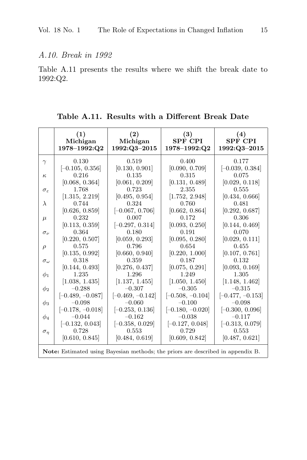### A.10. Break in 1992

Table A.11 presents the results where we shift the break date to 1992:Q2.

**Table A.11. Results with a Different Break Date**

|                                                                                        | (1)<br>Michigan<br>$1978 - 1992$ :Q2 | $\left( 2\right)$<br>Michigan<br>1992:Q3-2015 | (3)<br><b>SPF CPI</b><br>$1978 - 1992$ :Q2 | (4)<br><b>SPF CPI</b><br>1992:Q3-2015 |  |  |  |
|----------------------------------------------------------------------------------------|--------------------------------------|-----------------------------------------------|--------------------------------------------|---------------------------------------|--|--|--|
| $\gamma$                                                                               | 0.130                                | 0.519                                         | 0.400                                      | 0.177                                 |  |  |  |
|                                                                                        | $[-0.105, 0.356]$                    | [0.130, 0.901]                                | [0.090, 0.709]                             | $[-0.039, 0.384]$                     |  |  |  |
| $\kappa$                                                                               | 0.216                                | 0.135                                         | 0.315                                      | 0.075                                 |  |  |  |
|                                                                                        | [0.068, 0.364]                       | [0.061, 0.209]                                | [0.131, 0.489]                             | [0.029, 0.118]                        |  |  |  |
| $\sigma_{\varepsilon}$                                                                 | 1.768                                | 0.723                                         | 2.355                                      | 0.555                                 |  |  |  |
|                                                                                        | [1.315, 2.219]                       | [0.495, 0.954]                                | [1.752, 2.948]                             | [0.434, 0.666]                        |  |  |  |
| $\lambda$                                                                              | 0.744                                | 0.324                                         | 0.760                                      | 0.481                                 |  |  |  |
|                                                                                        | [0.626, 0.859]                       | $[-0.067, 0.706]$                             | [0.662, 0.864]                             | [0.292, 0.687]                        |  |  |  |
| $\mu$                                                                                  | 0.232                                | 0.007                                         | 0.172                                      | 0.306                                 |  |  |  |
|                                                                                        | [0.113, 0.359]                       | $[-0.297, 0.314]$                             | [0.093, 0.250]                             | [0.144, 0.469]                        |  |  |  |
| $\sigma_{\nu}$                                                                         | 0.364                                | 0.180                                         | 0.191                                      | 0.070                                 |  |  |  |
|                                                                                        | [0.220, 0.507]                       | [0.059, 0.293]                                | [0.095, 0.280]                             | [0.029, 0.111]                        |  |  |  |
| $\rho$                                                                                 | 0.575                                | 0.796                                         | 0.654                                      | 0.455                                 |  |  |  |
|                                                                                        | [0.135, 0.992]                       | [0.660, 0.940]                                | [0.220, 1.000]                             | [0.107, 0.761]                        |  |  |  |
| $\sigma_{\omega}$                                                                      | 0.318                                | 0.359                                         | 0.187                                      | 0.132                                 |  |  |  |
|                                                                                        | [0.144, 0.493]                       | [0.276, 0.437]                                | [0.075, 0.291]                             | [0.093, 0.169]                        |  |  |  |
| $\phi_1$                                                                               | 1.235                                | 1.296                                         | 1.249                                      | 1.305                                 |  |  |  |
|                                                                                        | [1.038, 1.435]                       | [1.137, 1.455]                                | [1.050, 1.450]                             | [1.148, 1.462]                        |  |  |  |
| $\phi_2$                                                                               | $-0.288$                             | $-0.307$                                      | $-0.305$                                   | $-0.315$                              |  |  |  |
|                                                                                        | $[-0.489, -0.087]$                   | $[-0.469, -0.142]$                            | $[-0.508, -0.104]$                         | $[-0.477, -0.153]$                    |  |  |  |
| $\phi_3$                                                                               | $-0.098$                             | $-0.060$                                      | $-0.100$                                   | $-0.098$                              |  |  |  |
|                                                                                        | $[-0.178, -0.018]$                   | $[-0.253, 0.136]$                             | $[-0.180, -0.020]$                         | $[-0.300, 0.096]$                     |  |  |  |
| $\phi_4$                                                                               | $-0.044$                             | $-0.162$                                      | $-0.038$                                   | $-0.117$                              |  |  |  |
|                                                                                        | $[-0.132, 0.043]$                    | $[-0.358, 0.029]$                             | $[-0.127, 0.048]$                          | $[-0.313, 0.079]$                     |  |  |  |
| $\sigma_n$                                                                             | 0.728                                | 0.553                                         | 0.729                                      | 0.553                                 |  |  |  |
|                                                                                        | [0.610, 0.845]                       | [0.484, 0.619]                                | [0.609, 0.842]                             | [0.487, 0.621]                        |  |  |  |
| <b>Note:</b> Estimated using Bayesian methods; the priors are described in appendix B. |                                      |                                               |                                            |                                       |  |  |  |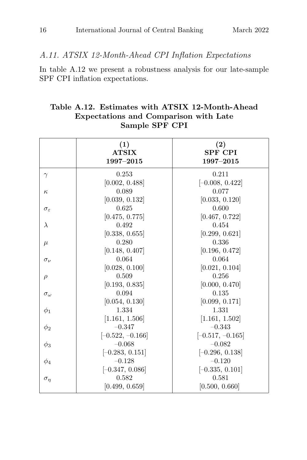### A.11. ATSIX 12-Month-Ahead CPI Inflation Expectations

In table A.12 we present a robustness analysis for our late-sample SPF CPI inflation expectations.

## **Sample SPF CPI (1) (2) ATSIX SPF CPI 1997–2015 1997–2015**  $\gamma$  0.253 0.211  $[0.002, 0.488]$   $[-0.008, 0.422]$  $\kappa$  0.089 0.077  $[0.039, 0.132]$   $[0.033, 0.120]$  $\sigma_{\varepsilon}$  0.625 0.600  $[0.475, 0.775]$   $[0.467, 0.722]$  $\lambda$  0.492 0.454  $[0.338, 0.655]$   $[0.299, 0.621]$  $\mu$  0.280 0.336  $[0.148, 0.407]$   $[0.196, 0.472]$  $\sigma_{\nu}$  0.064 0.064  $[0.028, 0.100]$   $[0.021, 0.104]$  $\rho$  0.509 0.256  $[0.193, 0.835]$   $[0.000, 0.470]$  $\sigma_{\omega}$  0.094 0.135  $[0.054, 0.130]$   $[0.099, 0.171]$  $\phi_1$  1.334 1.331  $[1.161, 1.506]$   $[1.161, 1.502]$  $\phi_2$  –0.347 –0.343  $[-0.522, -0.166]$   $[-0.517, -0.165]$  $\phi_3$  –0.068 –0.082  $[-0.283, 0.151]$   $[-0.296, 0.138]$  $\phi_4$  –0.128 –0.120  $[-0.347, 0.086]$   $[-0.335, 0.101]$  $\sigma_{\eta}$  0.582 0.581

 $[0.499, 0.659]$   $[0.500, 0.660]$ 

# **Table A.12. Estimates with ATSIX 12-Month-Ahead Expectations and Comparison with Late**